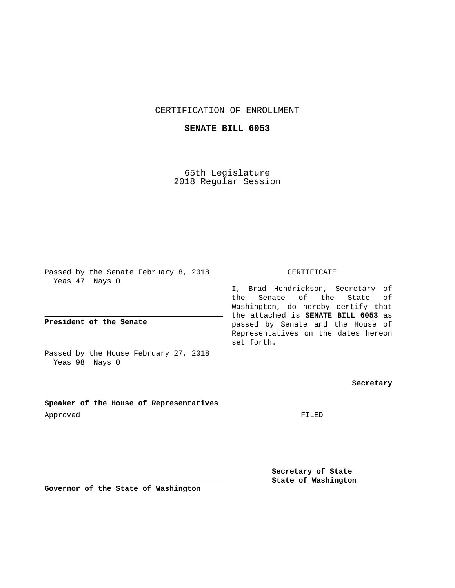## CERTIFICATION OF ENROLLMENT

## **SENATE BILL 6053**

65th Legislature 2018 Regular Session

Passed by the Senate February 8, 2018 Yeas 47 Nays 0

**President of the Senate**

Passed by the House February 27, 2018 Yeas 98 Nays 0

**Speaker of the House of Representatives** Approved FILED

CERTIFICATE

I, Brad Hendrickson, Secretary of the Senate of the State of Washington, do hereby certify that the attached is **SENATE BILL 6053** as passed by Senate and the House of Representatives on the dates hereon set forth.

**Secretary**

**Secretary of State State of Washington**

**Governor of the State of Washington**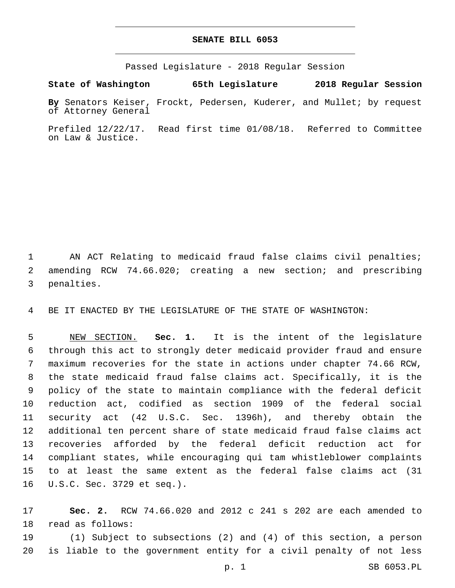## **SENATE BILL 6053**

Passed Legislature - 2018 Regular Session

**State of Washington 65th Legislature 2018 Regular Session**

**By** Senators Keiser, Frockt, Pedersen, Kuderer, and Mullet; by request of Attorney General

Prefiled 12/22/17. Read first time 01/08/18. Referred to Committee on Law & Justice.

 AN ACT Relating to medicaid fraud false claims civil penalties; amending RCW 74.66.020; creating a new section; and prescribing 3 penalties.

BE IT ENACTED BY THE LEGISLATURE OF THE STATE OF WASHINGTON:

 NEW SECTION. **Sec. 1.** It is the intent of the legislature through this act to strongly deter medicaid provider fraud and ensure maximum recoveries for the state in actions under chapter 74.66 RCW, the state medicaid fraud false claims act. Specifically, it is the policy of the state to maintain compliance with the federal deficit reduction act, codified as section 1909 of the federal social security act (42 U.S.C. Sec. 1396h), and thereby obtain the additional ten percent share of state medicaid fraud false claims act recoveries afforded by the federal deficit reduction act for compliant states, while encouraging qui tam whistleblower complaints to at least the same extent as the federal false claims act (31 U.S.C. Sec. 3729 et seq.).

 **Sec. 2.** RCW 74.66.020 and 2012 c 241 s 202 are each amended to 18 read as follows:

 (1) Subject to subsections (2) and (4) of this section, a person is liable to the government entity for a civil penalty of not less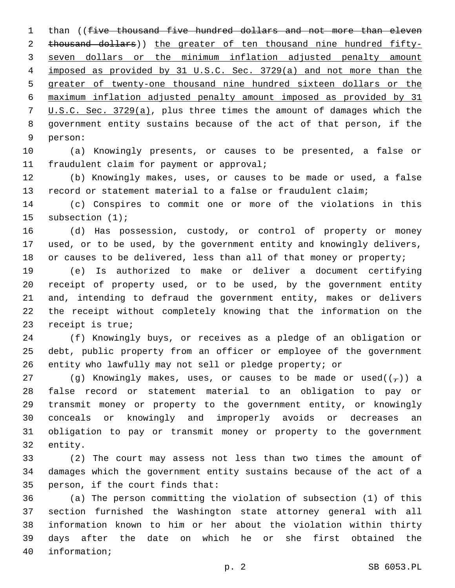1 than ((five thousand five hundred dollars and not more than eleven thousand dollars)) the greater of ten thousand nine hundred fifty- seven dollars or the minimum inflation adjusted penalty amount imposed as provided by 31 U.S.C. Sec. 3729(a) and not more than the greater of twenty-one thousand nine hundred sixteen dollars or the maximum inflation adjusted penalty amount imposed as provided by 31 U.S.C. Sec. 3729(a), plus three times the amount of damages which the government entity sustains because of the act of that person, if the 9 person:

 (a) Knowingly presents, or causes to be presented, a false or 11 fraudulent claim for payment or approval;

 (b) Knowingly makes, uses, or causes to be made or used, a false record or statement material to a false or fraudulent claim;

 (c) Conspires to commit one or more of the violations in this 15 subsection (1);

 (d) Has possession, custody, or control of property or money used, or to be used, by the government entity and knowingly delivers, 18 or causes to be delivered, less than all of that money or property;

 (e) Is authorized to make or deliver a document certifying receipt of property used, or to be used, by the government entity and, intending to defraud the government entity, makes or delivers the receipt without completely knowing that the information on the 23 receipt is true;

 (f) Knowingly buys, or receives as a pledge of an obligation or debt, public property from an officer or employee of the government entity who lawfully may not sell or pledge property; or

27 (g) Knowingly makes, uses, or causes to be made or used( $(\tau)$ ) a false record or statement material to an obligation to pay or transmit money or property to the government entity, or knowingly conceals or knowingly and improperly avoids or decreases an obligation to pay or transmit money or property to the government 32 entity.

 (2) The court may assess not less than two times the amount of damages which the government entity sustains because of the act of a 35 person, if the court finds that:

 (a) The person committing the violation of subsection (1) of this section furnished the Washington state attorney general with all information known to him or her about the violation within thirty days after the date on which he or she first obtained the 40 information;